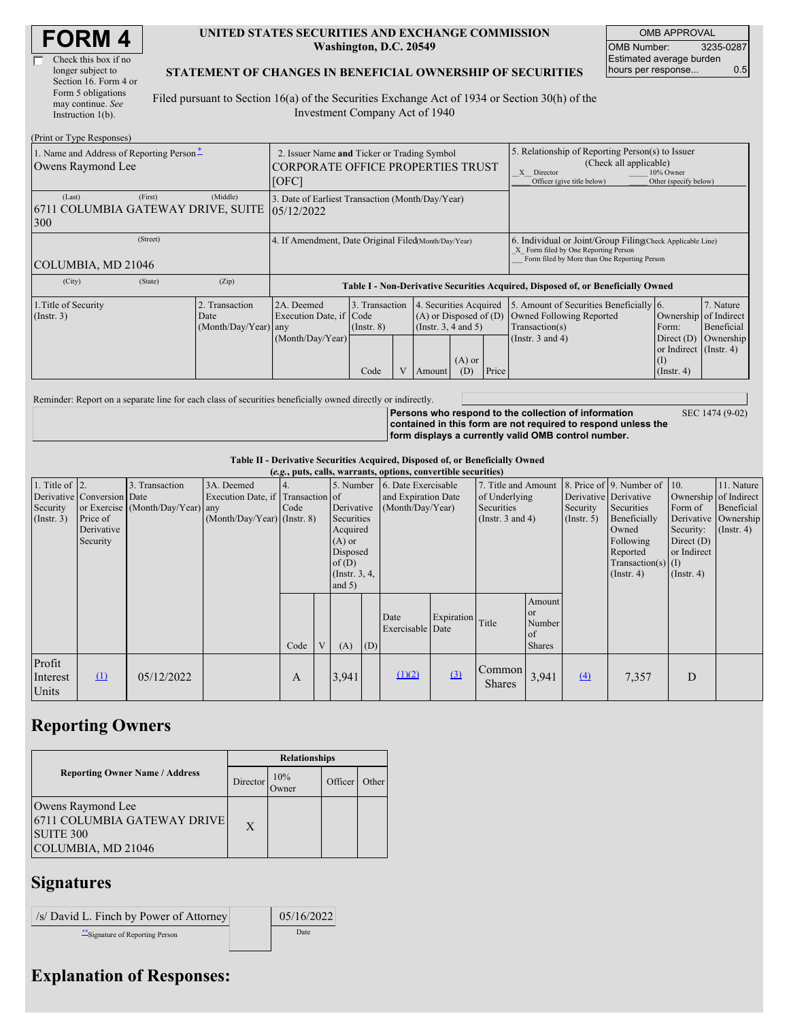| <b>FORM4</b> |
|--------------|
|--------------|

 $\Gamma$ 

## **UNITED STATES SECURITIES AND EXCHANGE COMMISSION Washington, D.C. 20549**

OMB APPROVAL OMB Number: 3235-0287 Estimated average burden hours per response... 0.5

SEC 1474 (9-02)

## **STATEMENT OF CHANGES IN BENEFICIAL OWNERSHIP OF SECURITIES**

Filed pursuant to Section 16(a) of the Securities Exchange Act of 1934 or Section 30(h) of the Investment Company Act of 1940

| (Print or Type Responses)                                          |                                                                                            |                      |                                                                                  |                                   |  |                                                                              |                                                                                                                                                              |       |                                                                                                                                                    |                                                                   |                         |  |
|--------------------------------------------------------------------|--------------------------------------------------------------------------------------------|----------------------|----------------------------------------------------------------------------------|-----------------------------------|--|------------------------------------------------------------------------------|--------------------------------------------------------------------------------------------------------------------------------------------------------------|-------|----------------------------------------------------------------------------------------------------------------------------------------------------|-------------------------------------------------------------------|-------------------------|--|
| 1. Name and Address of Reporting Person-<br>Owens Raymond Lee      | 2. Issuer Name and Ticker or Trading Symbol<br>CORPORATE OFFICE PROPERTIES TRUST<br>[IOFC] |                      |                                                                                  |                                   |  |                                                                              | 5. Relationship of Reporting Person(s) to Issuer<br>(Check all applicable)<br>X Director<br>10% Owner<br>Officer (give title below)<br>Other (specify below) |       |                                                                                                                                                    |                                                                   |                         |  |
| (Last)<br>6711 COLUMBIA GATEWAY DRIVE, SUITE<br>300                | (First)                                                                                    | (Middle)             | 3. Date of Earliest Transaction (Month/Day/Year)<br>05/12/2022                   |                                   |  |                                                                              |                                                                                                                                                              |       |                                                                                                                                                    |                                                                   |                         |  |
| (Street)<br>COLUMBIA, MD 21046                                     |                                                                                            |                      | 4. If Amendment, Date Original Filed Month/Day/Year)                             |                                   |  |                                                                              |                                                                                                                                                              |       | 6. Individual or Joint/Group Filing Check Applicable Line)<br>X Form filed by One Reporting Person<br>Form filed by More than One Reporting Person |                                                                   |                         |  |
| (City)                                                             | (State)                                                                                    | (Zip)                | Table I - Non-Derivative Securities Acquired, Disposed of, or Beneficially Owned |                                   |  |                                                                              |                                                                                                                                                              |       |                                                                                                                                                    |                                                                   |                         |  |
| 2. Transaction<br>1. Title of Security<br>$($ Instr. 3 $)$<br>Date |                                                                                            | (Month/Day/Year) any | 2A. Deemed<br>Execution Date, if Code                                            | 3. Transaction<br>$($ Instr. $8)$ |  | 4. Securities Acquired<br>$(A)$ or Disposed of $(D)$<br>(Insert. 3, 4 and 5) |                                                                                                                                                              |       | 5. Amount of Securities Beneficially 6.<br>Owned Following Reported<br>Transaction(s)                                                              | Ownership of Indirect<br>Form:                                    | 7. Nature<br>Beneficial |  |
|                                                                    |                                                                                            |                      | (Month/Day/Year)                                                                 | Code                              |  | Amount                                                                       | $(A)$ or<br>(D)                                                                                                                                              | Price | (Instr. $3$ and $4$ )                                                                                                                              | Direct $(D)$<br>or Indirect (Instr. 4)<br>(I)<br>$($ Instr. 4 $)$ | Ownership               |  |

Reminder: Report on a separate line for each class of securities beneficially owned directly or indirectly.

**Persons who respond to the collection of information contained in this form are not required to respond unless the form displays a currently valid OMB control number.**

**Table II - Derivative Securities Acquired, Disposed of, or Beneficially Owned**

|                                                    |                                                                  |                                                    |                                                                                  |      |                                                                                                                      |       |     | (e.g., puts, calls, warrants, options, convertible securities) |                  |                                                                             |                                                          |                                                       |                                                                                                                                                     |                                                                         |                                                                                               |
|----------------------------------------------------|------------------------------------------------------------------|----------------------------------------------------|----------------------------------------------------------------------------------|------|----------------------------------------------------------------------------------------------------------------------|-------|-----|----------------------------------------------------------------|------------------|-----------------------------------------------------------------------------|----------------------------------------------------------|-------------------------------------------------------|-----------------------------------------------------------------------------------------------------------------------------------------------------|-------------------------------------------------------------------------|-----------------------------------------------------------------------------------------------|
| 1. Title of $ 2$ .<br>Security<br>$($ Instr. 3 $)$ | Derivative Conversion Date<br>Price of<br>Derivative<br>Security | 3. Transaction<br>or Exercise (Month/Day/Year) any | 3A. Deemed<br>Execution Date, if Transaction of<br>$(Month/Day/Year)$ (Instr. 8) | Code | 5. Number<br>Derivative<br>Securities<br>Acquired<br>$(A)$ or<br>Disposed<br>of $(D)$<br>(Instr. $3, 4,$<br>and $5)$ |       |     | 6. Date Exercisable<br>and Expiration Date<br>(Month/Day/Year) |                  | 7. Title and Amount<br>of Underlying<br>Securities<br>(Instr. $3$ and $4$ ) |                                                          | Derivative Derivative<br>Security<br>$($ Instr. 5 $)$ | 8. Price of $\vert$ 9. Number of $\vert$ 10.<br>Securities<br>Beneficially<br>Owned<br>Following<br>Reported<br>$Transaction(s)$ (I)<br>(Insert. 4) | Form of<br>Security:<br>Direct $(D)$<br>or Indirect<br>$($ Instr. 4 $)$ | 11. Nature<br>Ownership of Indirect<br>Beneficial<br>Derivative Ownership<br>$($ Instr. 4 $)$ |
|                                                    |                                                                  |                                                    |                                                                                  | Code | V                                                                                                                    | (A)   | (D) | Date<br>Exercisable Date                                       | Expiration Title |                                                                             | Amount<br><sub>or</sub><br>Number<br>of<br><b>Shares</b> |                                                       |                                                                                                                                                     |                                                                         |                                                                                               |
| Profit<br>Interest<br>Units                        | $\Omega$                                                         | 05/12/2022                                         |                                                                                  | A    |                                                                                                                      | 3,941 |     | (1)(2)                                                         | (3)              | Common<br><b>Shares</b>                                                     | 3,941                                                    | $\Delta$                                              | 7,357                                                                                                                                               | D                                                                       |                                                                                               |

## **Reporting Owners**

|                                                                                            | <b>Relationships</b> |                     |         |       |  |  |  |  |
|--------------------------------------------------------------------------------------------|----------------------|---------------------|---------|-------|--|--|--|--|
| <b>Reporting Owner Name / Address</b>                                                      | Director             | 10%<br><b>Twner</b> | Officer | Other |  |  |  |  |
| Owens Raymond Lee<br>6711 COLUMBIA GATEWAY DRIVE<br><b>SUITE 300</b><br>COLUMBIA, MD 21046 | X                    |                     |         |       |  |  |  |  |

## **Signatures**

 $\big|$  /s/ David L. Finch by Power of Attorney 05/16/2022 \*\*Signature of Reporting Person

| 05/16/20 |
|----------|
| l late   |